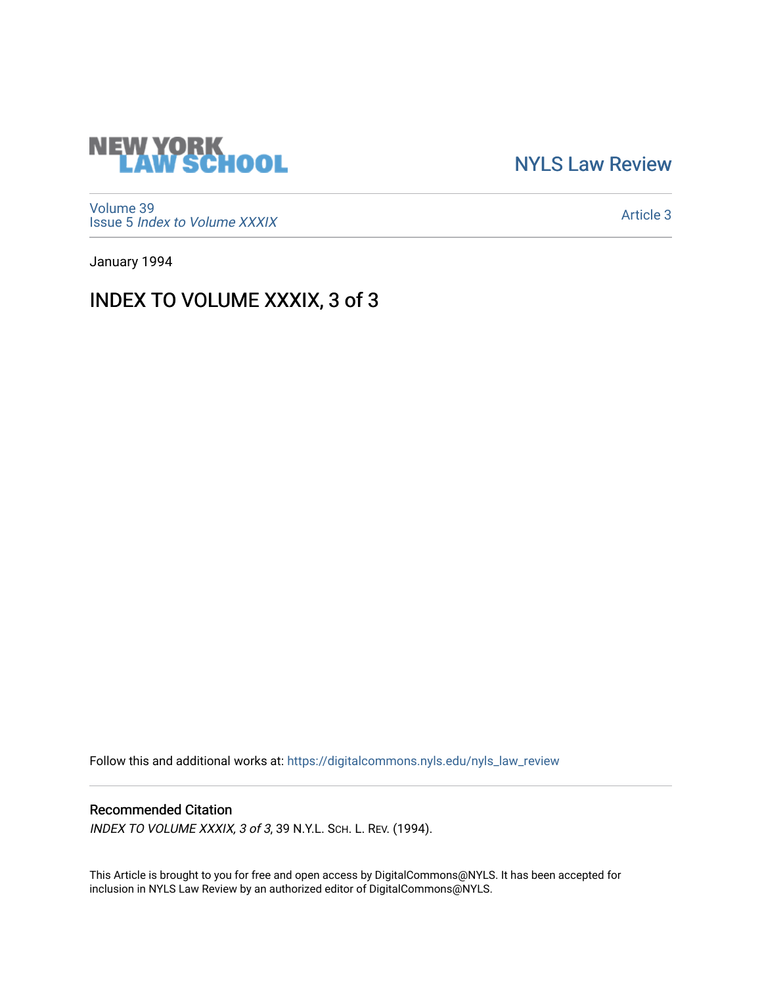

[NYLS Law Review](https://digitalcommons.nyls.edu/nyls_law_review) 

[Volume 39](https://digitalcommons.nyls.edu/nyls_law_review/vol39) Issue 5 [Index to Volume XXXIX](https://digitalcommons.nyls.edu/nyls_law_review/vol39/iss5)

[Article 3](https://digitalcommons.nyls.edu/nyls_law_review/vol39/iss5/3) 

January 1994

## INDEX TO VOLUME XXXIX, 3 of 3

Follow this and additional works at: [https://digitalcommons.nyls.edu/nyls\\_law\\_review](https://digitalcommons.nyls.edu/nyls_law_review?utm_source=digitalcommons.nyls.edu%2Fnyls_law_review%2Fvol39%2Fiss5%2F3&utm_medium=PDF&utm_campaign=PDFCoverPages) 

## Recommended Citation

INDEX TO VOLUME XXXIX, 3 of 3, 39 N.Y.L. SCH. L. REV. (1994).

This Article is brought to you for free and open access by DigitalCommons@NYLS. It has been accepted for inclusion in NYLS Law Review by an authorized editor of DigitalCommons@NYLS.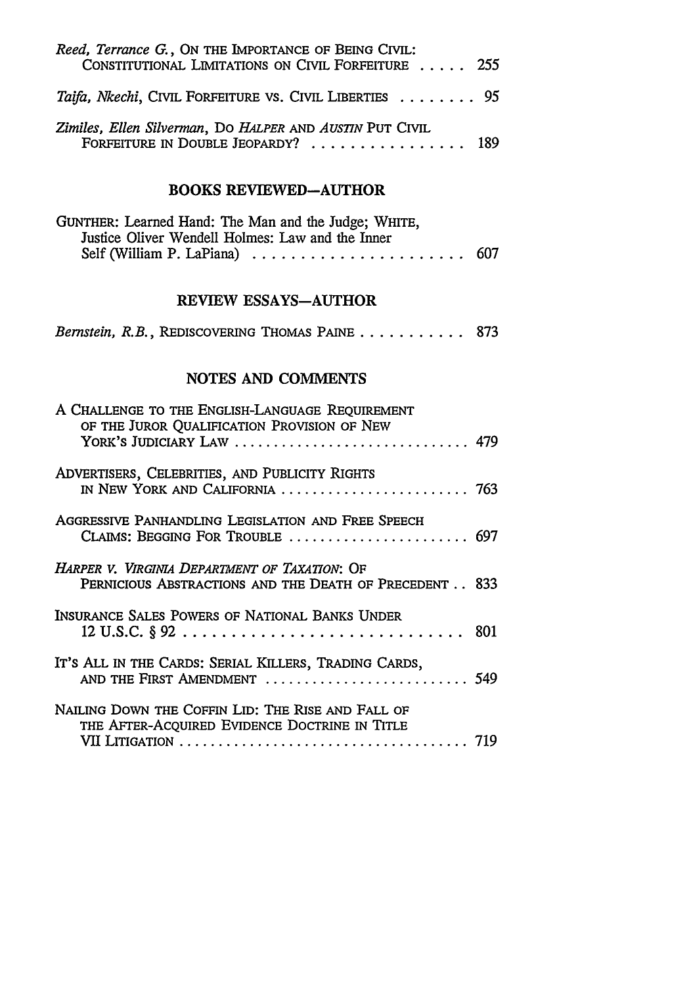| Reed, Terrance G., ON THE IMPORTANCE OF BEING CIVIL:<br>CONSTITUTIONAL LIMITATIONS ON CIVIL FORFEITURE  255                 |     |
|-----------------------------------------------------------------------------------------------------------------------------|-----|
| Taifa, Nkechi, CIVIL FORFEITURE VS. CIVIL LIBERTIES 95                                                                      |     |
| Zimiles, Ellen Silverman, DO HALPER AND AUSTIN PUT CIVIL<br>FORFEITURE IN DOUBLE JEOPARDY?  189                             |     |
| <b>BOOKS REVIEWED-AUTHOR</b>                                                                                                |     |
| GUNTHER: Learned Hand: The Man and the Judge; WHITE,<br>Justice Oliver Wendell Holmes: Law and the Inner                    |     |
| REVIEW ESSAYS-AUTHOR                                                                                                        |     |
| Bernstein, R.B., REDISCOVERING THOMAS PAINE 873                                                                             |     |
| <b>NOTES AND COMMENTS</b>                                                                                                   |     |
| A CHALLENGE TO THE ENGLISH-LANGUAGE REQUIREMENT<br>OF THE JUROR QUALIFICATION PROVISION OF NEW<br>YORK'S JUDICIARY LAW  479 |     |
| ADVERTISERS, CELEBRITIES, AND PUBLICITY RIGHTS<br>IN NEW YORK AND CALIFORNIA  763                                           |     |
| AGGRESSIVE PANHANDLING LEGISLATION AND FREE SPEECH                                                                          |     |
| HARPER V. VIRGINIA DEPARTMENT OF TAXATION: OF<br>PERNICIOUS ABSTRACTIONS AND THE DEATH OF PRECEDENT 833                     |     |
| INSURANCE SALES POWERS OF NATIONAL BANKS UNDER<br>12 U.S.C. § 92                                                            | 801 |
| IT's ALL IN THE CARDS: SERIAL KILLERS, TRADING CARDS,<br>AND THE FIRST AMENDMENT  549                                       |     |
| NAILING DOWN THE COFFIN LID: THE RISE AND FALL OF<br>THE AFTER-ACQUIRED EVIDENCE DOCTRINE IN TITLE                          |     |
|                                                                                                                             |     |
|                                                                                                                             |     |
|                                                                                                                             |     |
|                                                                                                                             |     |